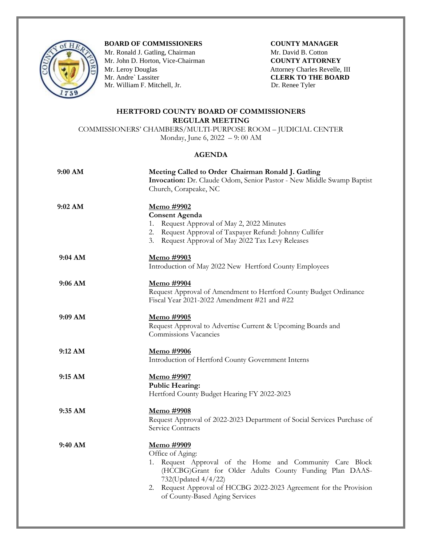

## **BOARD OF COMMISSIONERS COUNTY MANAGER**

Mr. Ronald J. Gatling, Chairman **Mr. David B. Cotton** Mr. John D. Horton, Vice-Chairman **COUNTY ATTORNEY**<br>
Mr. Leroy Douglas Attorney Charles Revelle,<br>
Mr. Andre` Lassiter **CLERK TO THE BOAR** Mr. William F. Mitchell, Jr. Dr. Renee Tyler

Attorney Charles Revelle, III **CLERK TO THE BOARD** 

## **HERTFORD COUNTY BOARD OF COMMISSIONERS REGULAR MEETING**

COMMISSIONERS' CHAMBERS/MULTI-PURPOSE ROOM – JUDICIAL CENTER Monday, June 6, 2022 – 9: 00 AM

## **AGENDA**

| 9:00 AM   | Meeting Called to Order Chairman Ronald J. Gatling<br>Invocation: Dr. Claude Odom, Senior Pastor - New Middle Swamp Baptist<br>Church, Corapeake, NC                                                                                                                                        |
|-----------|---------------------------------------------------------------------------------------------------------------------------------------------------------------------------------------------------------------------------------------------------------------------------------------------|
| 9:02 AM   | <u>Memo #9902</u><br><b>Consent Agenda</b><br>1. Request Approval of May 2, 2022 Minutes<br>2. Request Approval of Taxpayer Refund: Johnny Cullifer<br>3. Request Approval of May 2022 Tax Levy Releases                                                                                    |
| 9:04 AM   | Memo #9903<br>Introduction of May 2022 New Hertford County Employees                                                                                                                                                                                                                        |
| 9:06 AM   | <u>Memo #9904</u><br>Request Approval of Amendment to Hertford County Budget Ordinance<br>Fiscal Year 2021-2022 Amendment #21 and #22                                                                                                                                                       |
| $9:09$ AM | <u>Memo</u> #9905<br>Request Approval to Advertise Current & Upcoming Boards and<br>Commissions Vacancies                                                                                                                                                                                   |
| 9:12 AM   | Memo #9906<br>Introduction of Hertford County Government Interns                                                                                                                                                                                                                            |
| 9:15 AM   | Memo #9907<br><b>Public Hearing:</b><br>Hertford County Budget Hearing FY 2022-2023                                                                                                                                                                                                         |
| 9:35 AM   | Memo #9908<br>Request Approval of 2022-2023 Department of Social Services Purchase of<br>Service Contracts                                                                                                                                                                                  |
| 9:40 AM   | <u>Memo #9909</u><br>Office of Aging:<br>1. Request Approval of the Home and Community Care Block<br>(HCCBG)Grant for Older Adults County Funding Plan DAAS-<br>732(Updated 4/4/22)<br>2. Request Approval of HCCBG 2022-2023 Agreement for the Provision<br>of County-Based Aging Services |